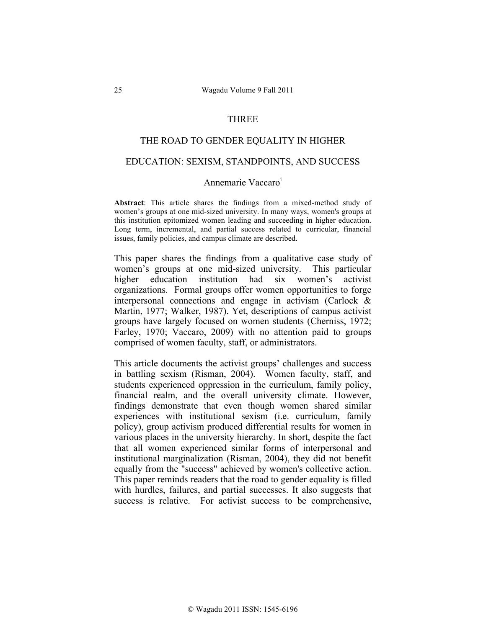## THREE

# THE ROAD TO GENDER EQUALITY IN HIGHER

## EDUCATION: SEXISM, STANDPOINTS, AND SUCCESS

### Annemarie Vaccaro<sup>1</sup>

**Abstract**: This article shares the findings from a mixed-method study of women's groups at one mid-sized university. In many ways, women's groups at this institution epitomized women leading and succeeding in higher education. Long term, incremental, and partial success related to curricular, financial issues, family policies, and campus climate are described.

This paper shares the findings from a qualitative case study of women's groups at one mid-sized university. This particular higher education institution had six women's activist organizations. Formal groups offer women opportunities to forge interpersonal connections and engage in activism (Carlock & Martin, 1977; Walker, 1987). Yet, descriptions of campus activist groups have largely focused on women students (Cherniss, 1972; Farley, 1970; Vaccaro, 2009) with no attention paid to groups comprised of women faculty, staff, or administrators.

This article documents the activist groups' challenges and success in battling sexism (Risman, 2004). Women faculty, staff, and students experienced oppression in the curriculum, family policy, financial realm, and the overall university climate. However, findings demonstrate that even though women shared similar experiences with institutional sexism (i.e. curriculum, family policy), group activism produced differential results for women in various places in the university hierarchy. In short, despite the fact that all women experienced similar forms of interpersonal and institutional marginalization (Risman, 2004), they did not benefit equally from the "success" achieved by women's collective action. This paper reminds readers that the road to gender equality is filled with hurdles, failures, and partial successes. It also suggests that success is relative. For activist success to be comprehensive,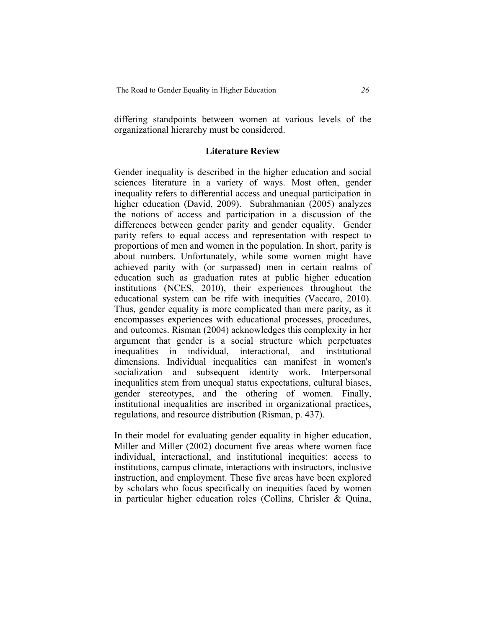differing standpoints between women at various levels of the organizational hierarchy must be considered.

#### **Literature Review**

Gender inequality is described in the higher education and social sciences literature in a variety of ways. Most often, gender inequality refers to differential access and unequal participation in higher education (David, 2009). Subrahmanian (2005) analyzes the notions of access and participation in a discussion of the differences between gender parity and gender equality. Gender parity refers to equal access and representation with respect to proportions of men and women in the population. In short, parity is about numbers. Unfortunately, while some women might have achieved parity with (or surpassed) men in certain realms of education such as graduation rates at public higher education institutions (NCES, 2010), their experiences throughout the educational system can be rife with inequities (Vaccaro, 2010). Thus, gender equality is more complicated than mere parity, as it encompasses experiences with educational processes, procedures, and outcomes. Risman (2004) acknowledges this complexity in her argument that gender is a social structure which perpetuates inequalities in individual, interactional, and institutional dimensions. Individual inequalities can manifest in women's socialization and subsequent identity work. Interpersonal inequalities stem from unequal status expectations, cultural biases, gender stereotypes, and the othering of women. Finally, institutional inequalities are inscribed in organizational practices, regulations, and resource distribution (Risman, p. 437).

In their model for evaluating gender equality in higher education, Miller and Miller (2002) document five areas where women face individual, interactional, and institutional inequities: access to institutions, campus climate, interactions with instructors, inclusive instruction, and employment. These five areas have been explored by scholars who focus specifically on inequities faced by women in particular higher education roles (Collins, Chrisler & Quina,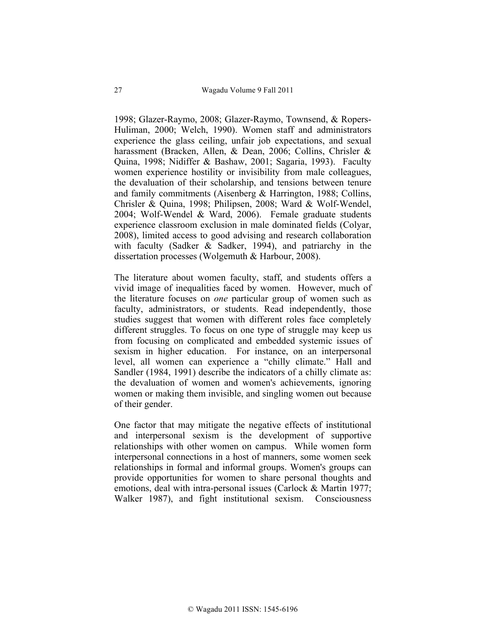1998; Glazer-Raymo, 2008; Glazer-Raymo, Townsend, & Ropers-Huliman, 2000; Welch, 1990). Women staff and administrators experience the glass ceiling, unfair job expectations, and sexual harassment (Bracken, Allen, & Dean, 2006; Collins, Chrisler & Quina, 1998; Nidiffer & Bashaw, 2001; Sagaria, 1993). Faculty women experience hostility or invisibility from male colleagues, the devaluation of their scholarship, and tensions between tenure and family commitments (Aisenberg & Harrington, 1988; Collins, Chrisler & Quina, 1998; Philipsen, 2008; Ward & Wolf-Wendel, 2004; Wolf-Wendel & Ward, 2006). Female graduate students experience classroom exclusion in male dominated fields (Colyar, 2008), limited access to good advising and research collaboration with faculty (Sadker & Sadker, 1994), and patriarchy in the dissertation processes (Wolgemuth & Harbour, 2008).

The literature about women faculty, staff, and students offers a vivid image of inequalities faced by women. However, much of the literature focuses on *one* particular group of women such as faculty, administrators, or students. Read independently, those studies suggest that women with different roles face completely different struggles. To focus on one type of struggle may keep us from focusing on complicated and embedded systemic issues of sexism in higher education. For instance, on an interpersonal level, all women can experience a "chilly climate." Hall and Sandler (1984, 1991) describe the indicators of a chilly climate as: the devaluation of women and women's achievements, ignoring women or making them invisible, and singling women out because of their gender.

One factor that may mitigate the negative effects of institutional and interpersonal sexism is the development of supportive relationships with other women on campus. While women form interpersonal connections in a host of manners, some women seek relationships in formal and informal groups. Women's groups can provide opportunities for women to share personal thoughts and emotions, deal with intra-personal issues (Carlock & Martin 1977; Walker 1987), and fight institutional sexism. Consciousness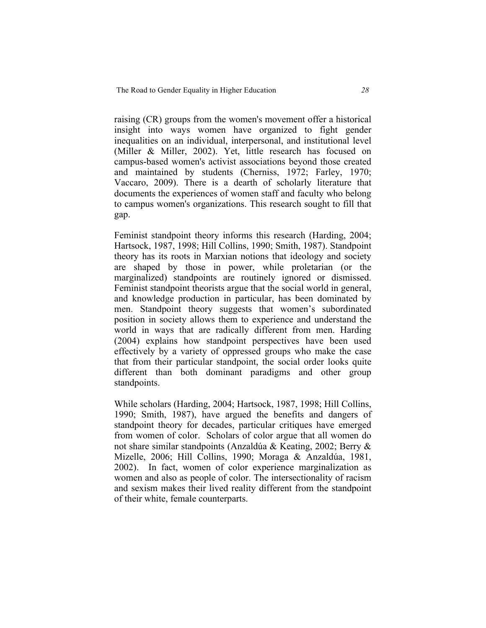raising (CR) groups from the women's movement offer a historical insight into ways women have organized to fight gender inequalities on an individual, interpersonal, and institutional level (Miller & Miller, 2002). Yet, little research has focused on campus-based women's activist associations beyond those created and maintained by students (Cherniss, 1972; Farley, 1970; Vaccaro, 2009). There is a dearth of scholarly literature that documents the experiences of women staff and faculty who belong to campus women's organizations. This research sought to fill that gap.

Feminist standpoint theory informs this research (Harding, 2004; Hartsock, 1987, 1998; Hill Collins, 1990; Smith, 1987). Standpoint theory has its roots in Marxian notions that ideology and society are shaped by those in power, while proletarian (or the marginalized) standpoints are routinely ignored or dismissed. Feminist standpoint theorists argue that the social world in general, and knowledge production in particular, has been dominated by men. Standpoint theory suggests that women's subordinated position in society allows them to experience and understand the world in ways that are radically different from men. Harding (2004) explains how standpoint perspectives have been used effectively by a variety of oppressed groups who make the case that from their particular standpoint, the social order looks quite different than both dominant paradigms and other group standpoints.

While scholars (Harding, 2004; Hartsock, 1987, 1998; Hill Collins, 1990; Smith, 1987), have argued the benefits and dangers of standpoint theory for decades, particular critiques have emerged from women of color. Scholars of color argue that all women do not share similar standpoints (Anzaldúa & Keating, 2002; Berry & Mizelle, 2006; Hill Collins, 1990; Moraga & Anzaldúa, 1981, 2002). In fact, women of color experience marginalization as women and also as people of color. The intersectionality of racism and sexism makes their lived reality different from the standpoint of their white, female counterparts.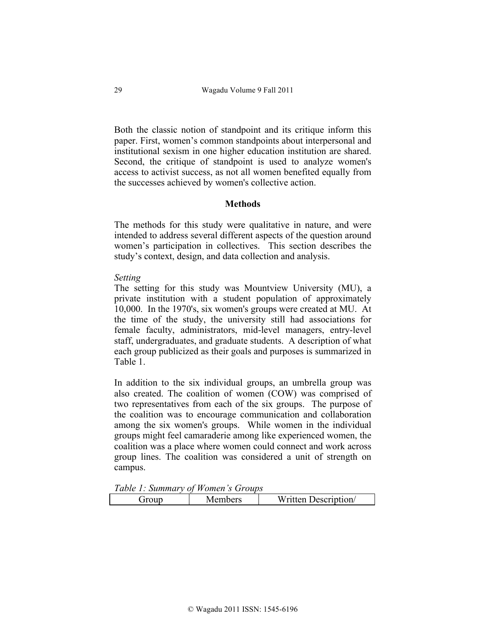Both the classic notion of standpoint and its critique inform this paper. First, women's common standpoints about interpersonal and institutional sexism in one higher education institution are shared. Second, the critique of standpoint is used to analyze women's access to activist success, as not all women benefited equally from the successes achieved by women's collective action.

#### **Methods**

The methods for this study were qualitative in nature, and were intended to address several different aspects of the question around women's participation in collectives. This section describes the study's context, design, and data collection and analysis.

#### *Setting*

The setting for this study was Mountview University (MU), a private institution with a student population of approximately 10,000. In the 1970's, six women's groups were created at MU. At the time of the study, the university still had associations for female faculty, administrators, mid-level managers, entry-level staff, undergraduates, and graduate students. A description of what each group publicized as their goals and purposes is summarized in Table 1.

In addition to the six individual groups, an umbrella group was also created. The coalition of women (COW) was comprised of two representatives from each of the six groups. The purpose of the coalition was to encourage communication and collaboration among the six women's groups. While women in the individual groups might feel camaraderie among like experienced women, the coalition was a place where women could connect and work across group lines. The coalition was considered a unit of strength on campus.

*Table 1: Summary of Women's Groups* 

| $  -$<br>---- |       |                   |
|---------------|-------|-------------------|
|               | ibers | W<br>)escription/ |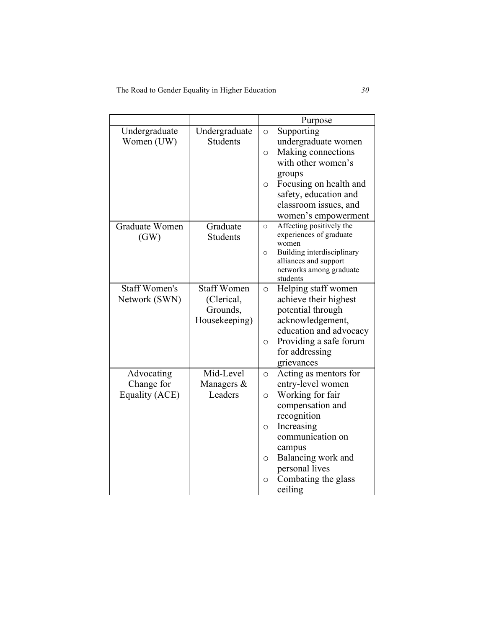|                      |                    |         | Purpose                             |
|----------------------|--------------------|---------|-------------------------------------|
| Undergraduate        | Undergraduate      | $\circ$ | Supporting                          |
| Women (UW)           | <b>Students</b>    |         | undergraduate women                 |
|                      |                    | $\circ$ | Making connections                  |
|                      |                    |         | with other women's                  |
|                      |                    |         | groups                              |
|                      |                    | $\circ$ | Focusing on health and              |
|                      |                    |         | safety, education and               |
|                      |                    |         | classroom issues, and               |
|                      |                    |         | women's empowerment                 |
| Graduate Women       | Graduate           | $\circ$ | Affecting positively the            |
| (GW)                 | <b>Students</b>    |         | experiences of graduate             |
|                      |                    | $\circ$ | women<br>Building interdisciplinary |
|                      |                    |         | alliances and support               |
|                      |                    |         | networks among graduate             |
|                      |                    |         | students                            |
| <b>Staff Women's</b> | <b>Staff Women</b> | $\circ$ | Helping staff women                 |
| Network (SWN)        | (Clerical,         |         | achieve their highest               |
|                      | Grounds,           |         | potential through                   |
|                      | Housekeeping)      |         | acknowledgement,                    |
|                      |                    |         | education and advocacy              |
|                      |                    | $\circ$ | Providing a safe forum              |
|                      |                    |         | for addressing                      |
|                      |                    |         | grievances                          |
| Advocating           | Mid-Level          | $\circ$ | Acting as mentors for               |
| Change for           | Managers &         |         | entry-level women                   |
| Equality (ACE)       | Leaders            | $\circ$ | Working for fair                    |
|                      |                    |         | compensation and                    |
|                      |                    |         | recognition                         |
|                      |                    | $\circ$ | Increasing                          |
|                      |                    |         | communication on                    |
|                      |                    |         | campus                              |
|                      |                    | $\circ$ | Balancing work and                  |
|                      |                    |         | personal lives                      |
|                      |                    | $\circ$ | Combating the glass                 |
|                      |                    |         | ceiling                             |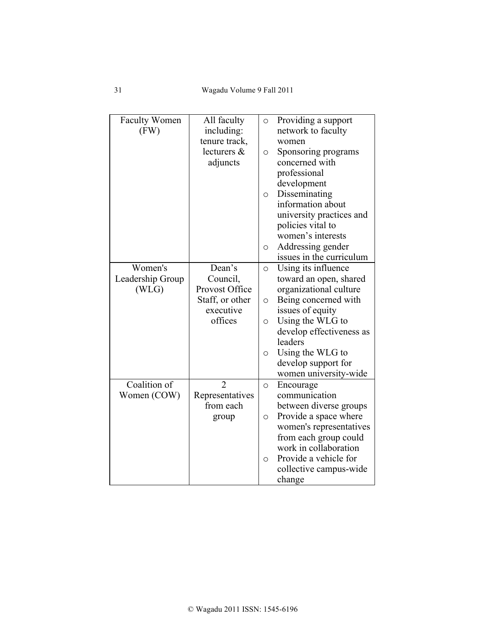| <b>Faculty Women</b> | All faculty     | $\bigcirc$ | Providing a support      |
|----------------------|-----------------|------------|--------------------------|
| (FW)                 | including:      |            | network to faculty       |
|                      | tenure track,   |            | women                    |
|                      | lecturers &     | $\circ$    | Sponsoring programs      |
|                      | adjuncts        |            | concerned with           |
|                      |                 |            | professional             |
|                      |                 |            | development              |
|                      |                 | $\circ$    | Disseminating            |
|                      |                 |            | information about        |
|                      |                 |            | university practices and |
|                      |                 |            | policies vital to        |
|                      |                 |            | women's interests        |
|                      |                 | $\circ$    | Addressing gender        |
|                      |                 |            | issues in the curriculum |
| Women's              | Dean's          | $\circ$    | Using its influence      |
| Leadership Group     | Council,        |            | toward an open, shared   |
| (WLG)                | Provost Office  |            | organizational culture   |
|                      | Staff, or other | $\circ$    | Being concerned with     |
|                      | executive       |            | issues of equity         |
|                      | offices         | $\circ$    | Using the WLG to         |
|                      |                 |            | develop effectiveness as |
|                      |                 |            | leaders                  |
|                      |                 | $\circ$    | Using the WLG to         |
|                      |                 |            | develop support for      |
|                      |                 |            | women university-wide    |
| Coalition of         | $\overline{2}$  | $\circ$    | Encourage                |
| Women (COW)          | Representatives |            | communication            |
|                      | from each       |            | between diverse groups   |
|                      | group           | $\circ$    | Provide a space where    |
|                      |                 |            | women's representatives  |
|                      |                 |            | from each group could    |
|                      |                 |            | work in collaboration    |
|                      |                 | $\circ$    | Provide a vehicle for    |
|                      |                 |            | collective campus-wide   |
|                      |                 |            | change                   |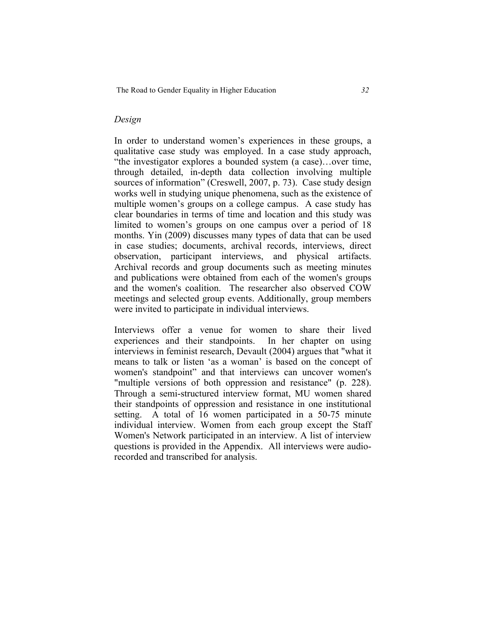## *Design*

In order to understand women's experiences in these groups, a qualitative case study was employed. In a case study approach, "the investigator explores a bounded system (a case)…over time, through detailed, in-depth data collection involving multiple sources of information" (Creswell, 2007, p. 73). Case study design works well in studying unique phenomena, such as the existence of multiple women's groups on a college campus. A case study has clear boundaries in terms of time and location and this study was limited to women's groups on one campus over a period of 18 months. Yin (2009) discusses many types of data that can be used in case studies; documents, archival records, interviews, direct observation, participant interviews, and physical artifacts. Archival records and group documents such as meeting minutes and publications were obtained from each of the women's groups and the women's coalition. The researcher also observed COW meetings and selected group events. Additionally, group members were invited to participate in individual interviews.

Interviews offer a venue for women to share their lived experiences and their standpoints. In her chapter on using interviews in feminist research, Devault (2004) argues that "what it means to talk or listen 'as a woman' is based on the concept of women's standpoint" and that interviews can uncover women's "multiple versions of both oppression and resistance" (p. 228). Through a semi-structured interview format, MU women shared their standpoints of oppression and resistance in one institutional setting. A total of 16 women participated in a 50-75 minute individual interview. Women from each group except the Staff Women's Network participated in an interview. A list of interview questions is provided in the Appendix. All interviews were audiorecorded and transcribed for analysis.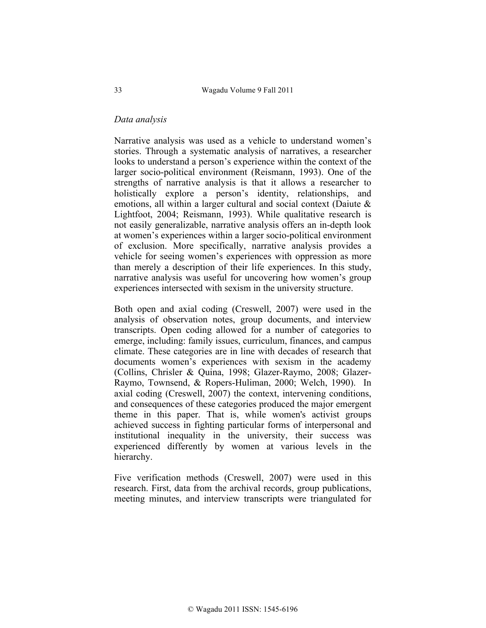### *Data analysis*

Narrative analysis was used as a vehicle to understand women's stories. Through a systematic analysis of narratives, a researcher looks to understand a person's experience within the context of the larger socio-political environment (Reismann, 1993). One of the strengths of narrative analysis is that it allows a researcher to holistically explore a person's identity, relationships, and emotions, all within a larger cultural and social context (Daiute & Lightfoot, 2004; Reismann, 1993). While qualitative research is not easily generalizable, narrative analysis offers an in-depth look at women's experiences within a larger socio-political environment of exclusion. More specifically, narrative analysis provides a vehicle for seeing women's experiences with oppression as more than merely a description of their life experiences. In this study, narrative analysis was useful for uncovering how women's group experiences intersected with sexism in the university structure.

Both open and axial coding (Creswell, 2007) were used in the analysis of observation notes, group documents, and interview transcripts. Open coding allowed for a number of categories to emerge, including: family issues, curriculum, finances, and campus climate. These categories are in line with decades of research that documents women's experiences with sexism in the academy (Collins, Chrisler & Quina, 1998; Glazer-Raymo, 2008; Glazer-Raymo, Townsend, & Ropers-Huliman, 2000; Welch, 1990). In axial coding (Creswell, 2007) the context, intervening conditions, and consequences of these categories produced the major emergent theme in this paper. That is, while women's activist groups achieved success in fighting particular forms of interpersonal and institutional inequality in the university, their success was experienced differently by women at various levels in the hierarchy.

Five verification methods (Creswell, 2007) were used in this research. First, data from the archival records, group publications, meeting minutes, and interview transcripts were triangulated for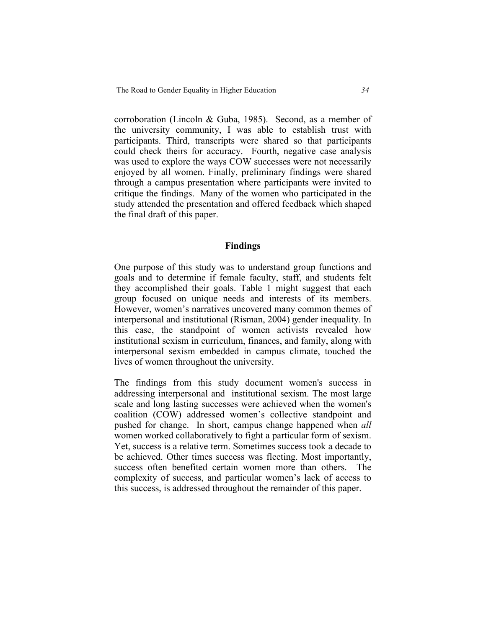corroboration (Lincoln & Guba, 1985). Second, as a member of the university community, I was able to establish trust with participants. Third, transcripts were shared so that participants could check theirs for accuracy. Fourth, negative case analysis was used to explore the ways COW successes were not necessarily enjoyed by all women. Finally, preliminary findings were shared through a campus presentation where participants were invited to critique the findings. Many of the women who participated in the study attended the presentation and offered feedback which shaped the final draft of this paper.

### **Findings**

One purpose of this study was to understand group functions and goals and to determine if female faculty, staff, and students felt they accomplished their goals. Table 1 might suggest that each group focused on unique needs and interests of its members. However, women's narratives uncovered many common themes of interpersonal and institutional (Risman, 2004) gender inequality. In this case, the standpoint of women activists revealed how institutional sexism in curriculum, finances, and family, along with interpersonal sexism embedded in campus climate, touched the lives of women throughout the university.

The findings from this study document women's success in addressing interpersonal and institutional sexism. The most large scale and long lasting successes were achieved when the women's coalition (COW) addressed women's collective standpoint and pushed for change. In short, campus change happened when *all* women worked collaboratively to fight a particular form of sexism. Yet, success is a relative term. Sometimes success took a decade to be achieved. Other times success was fleeting. Most importantly, success often benefited certain women more than others. The complexity of success, and particular women's lack of access to this success, is addressed throughout the remainder of this paper.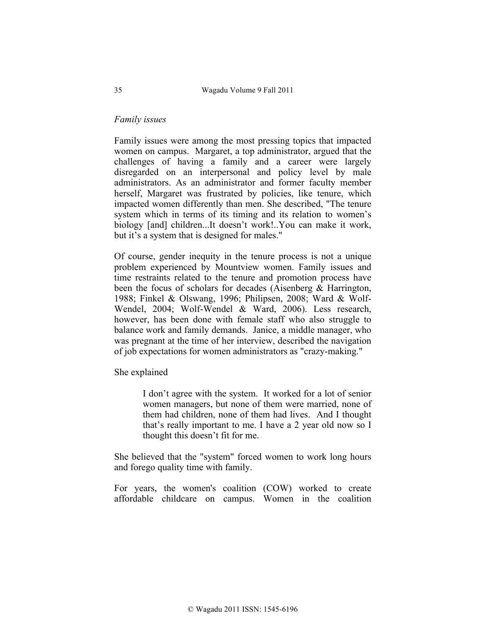### *Family issues*

Family issues were among the most pressing topics that impacted women on campus. Margaret, a top administrator, argued that the challenges of having a family and a career were largely disregarded on an interpersonal and policy level by male administrators. As an administrator and former faculty member herself, Margaret was frustrated by policies, like tenure, which impacted women differently than men. She described, "The tenure system which in terms of its timing and its relation to women's biology [and] children...It doesn't work!..You can make it work, but it's a system that is designed for males."

Of course, gender inequity in the tenure process is not a unique problem experienced by Mountview women. Family issues and time restraints related to the tenure and promotion process have been the focus of scholars for decades (Aisenberg & Harrington, 1988; Finkel & Olswang, 1996; Philipsen, 2008; Ward & Wolf-Wendel, 2004; Wolf-Wendel & Ward, 2006). Less research, however, has been done with female staff who also struggle to balance work and family demands. Janice, a middle manager, who was pregnant at the time of her interview, described the navigation of job expectations for women administrators as "crazy-making."

She explained

I don't agree with the system. It worked for a lot of senior women managers, but none of them were married, none of them had children, none of them had lives. And I thought that's really important to me. I have a 2 year old now so I thought this doesn't fit for me.

She believed that the "system" forced women to work long hours and forego quality time with family.

For years, the women's coalition (COW) worked to create affordable childcare on campus. Women in the coalition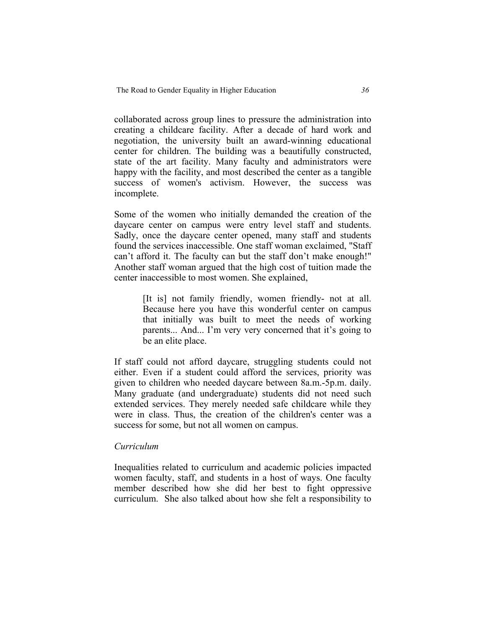collaborated across group lines to pressure the administration into creating a childcare facility. After a decade of hard work and negotiation, the university built an award-winning educational center for children. The building was a beautifully constructed, state of the art facility. Many faculty and administrators were happy with the facility, and most described the center as a tangible success of women's activism. However, the success was incomplete.

Some of the women who initially demanded the creation of the daycare center on campus were entry level staff and students. Sadly, once the daycare center opened, many staff and students found the services inaccessible. One staff woman exclaimed, "Staff can't afford it. The faculty can but the staff don't make enough!" Another staff woman argued that the high cost of tuition made the center inaccessible to most women. She explained,

> [It is] not family friendly, women friendly- not at all. Because here you have this wonderful center on campus that initially was built to meet the needs of working parents... And... I'm very very concerned that it's going to be an elite place.

If staff could not afford daycare, struggling students could not either. Even if a student could afford the services, priority was given to children who needed daycare between 8a.m.-5p.m. daily. Many graduate (and undergraduate) students did not need such extended services. They merely needed safe childcare while they were in class. Thus, the creation of the children's center was a success for some, but not all women on campus.

## *Curriculum*

Inequalities related to curriculum and academic policies impacted women faculty, staff, and students in a host of ways. One faculty member described how she did her best to fight oppressive curriculum. She also talked about how she felt a responsibility to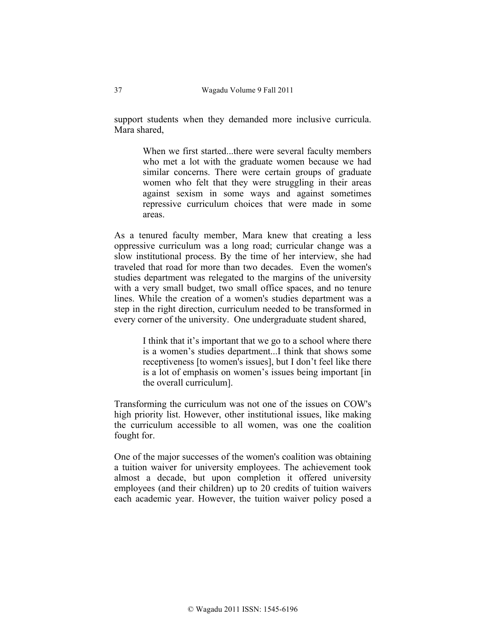support students when they demanded more inclusive curricula. Mara shared,

> When we first started...there were several faculty members who met a lot with the graduate women because we had similar concerns. There were certain groups of graduate women who felt that they were struggling in their areas against sexism in some ways and against sometimes repressive curriculum choices that were made in some areas.

As a tenured faculty member, Mara knew that creating a less oppressive curriculum was a long road; curricular change was a slow institutional process. By the time of her interview, she had traveled that road for more than two decades. Even the women's studies department was relegated to the margins of the university with a very small budget, two small office spaces, and no tenure lines. While the creation of a women's studies department was a step in the right direction, curriculum needed to be transformed in every corner of the university. One undergraduate student shared,

> I think that it's important that we go to a school where there is a women's studies department...I think that shows some receptiveness [to women's issues], but I don't feel like there is a lot of emphasis on women's issues being important [in the overall curriculum].

Transforming the curriculum was not one of the issues on COW's high priority list. However, other institutional issues, like making the curriculum accessible to all women, was one the coalition fought for.

One of the major successes of the women's coalition was obtaining a tuition waiver for university employees. The achievement took almost a decade, but upon completion it offered university employees (and their children) up to 20 credits of tuition waivers each academic year. However, the tuition waiver policy posed a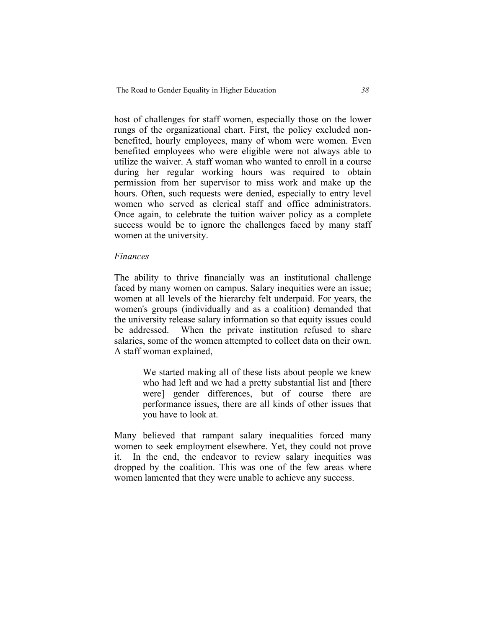host of challenges for staff women, especially those on the lower rungs of the organizational chart. First, the policy excluded nonbenefited, hourly employees, many of whom were women. Even benefited employees who were eligible were not always able to utilize the waiver. A staff woman who wanted to enroll in a course during her regular working hours was required to obtain permission from her supervisor to miss work and make up the hours. Often, such requests were denied, especially to entry level women who served as clerical staff and office administrators. Once again, to celebrate the tuition waiver policy as a complete success would be to ignore the challenges faced by many staff women at the university.

#### *Finances*

The ability to thrive financially was an institutional challenge faced by many women on campus. Salary inequities were an issue; women at all levels of the hierarchy felt underpaid. For years, the women's groups (individually and as a coalition) demanded that the university release salary information so that equity issues could be addressed. When the private institution refused to share salaries, some of the women attempted to collect data on their own. A staff woman explained,

> We started making all of these lists about people we knew who had left and we had a pretty substantial list and [there] were] gender differences, but of course there are performance issues, there are all kinds of other issues that you have to look at.

Many believed that rampant salary inequalities forced many women to seek employment elsewhere. Yet, they could not prove it. In the end, the endeavor to review salary inequities was dropped by the coalition. This was one of the few areas where women lamented that they were unable to achieve any success.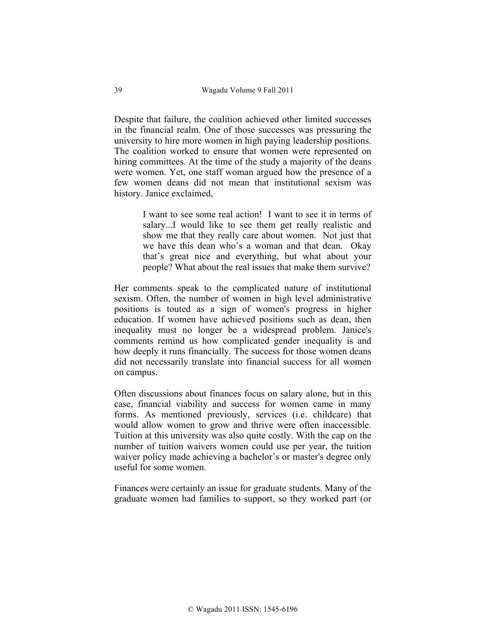Despite that failure, the coalition achieved other limited successes in the financial realm. One of those successes was pressuring the university to hire more women in high paying leadership positions. The coalition worked to ensure that women were represented on hiring committees. At the time of the study a majority of the deans were women. Yet, one staff woman argued how the presence of a few women deans did not mean that institutional sexism was history. Janice exclaimed,

> I want to see some real action! I want to see it in terms of salary...I would like to see them get really realistic and show me that they really care about women. Not just that we have this dean who's a woman and that dean. Okay that's great nice and everything, but what about your people? What about the real issues that make them survive?

Her comments speak to the complicated nature of institutional sexism. Often, the number of women in high level administrative positions is touted as a sign of women's progress in higher education. If women have achieved positions such as dean, then inequality must no longer be a widespread problem. Janice's comments remind us how complicated gender inequality is and how deeply it runs financially. The success for those women deans did not necessarily translate into financial success for all women on campus.

Often discussions about finances focus on salary alone, but in this case, financial viability and success for women came in many forms. As mentioned previously, services (i.e. childcare) that would allow women to grow and thrive were often inaccessible. Tuition at this university was also quite costly. With the cap on the number of tuition waivers women could use per year, the tuition waiver policy made achieving a bachelor's or master's degree only useful for some women.

Finances were certainly an issue for graduate students. Many of the graduate women had families to support, so they worked part (or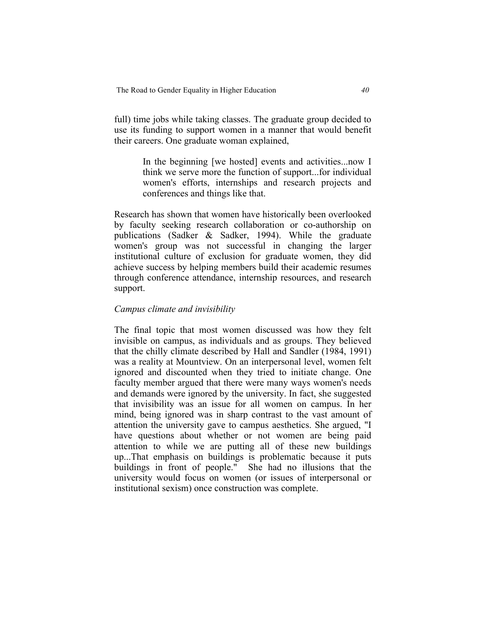full) time jobs while taking classes. The graduate group decided to use its funding to support women in a manner that would benefit their careers. One graduate woman explained,

> In the beginning [we hosted] events and activities...now I think we serve more the function of support...for individual women's efforts, internships and research projects and conferences and things like that.

Research has shown that women have historically been overlooked by faculty seeking research collaboration or co-authorship on publications (Sadker & Sadker, 1994). While the graduate women's group was not successful in changing the larger institutional culture of exclusion for graduate women, they did achieve success by helping members build their academic resumes through conference attendance, internship resources, and research support.

## *Campus climate and invisibility*

The final topic that most women discussed was how they felt invisible on campus, as individuals and as groups. They believed that the chilly climate described by Hall and Sandler (1984, 1991) was a reality at Mountview. On an interpersonal level, women felt ignored and discounted when they tried to initiate change. One faculty member argued that there were many ways women's needs and demands were ignored by the university. In fact, she suggested that invisibility was an issue for all women on campus. In her mind, being ignored was in sharp contrast to the vast amount of attention the university gave to campus aesthetics. She argued, "I have questions about whether or not women are being paid attention to while we are putting all of these new buildings up...That emphasis on buildings is problematic because it puts buildings in front of people." She had no illusions that the university would focus on women (or issues of interpersonal or institutional sexism) once construction was complete.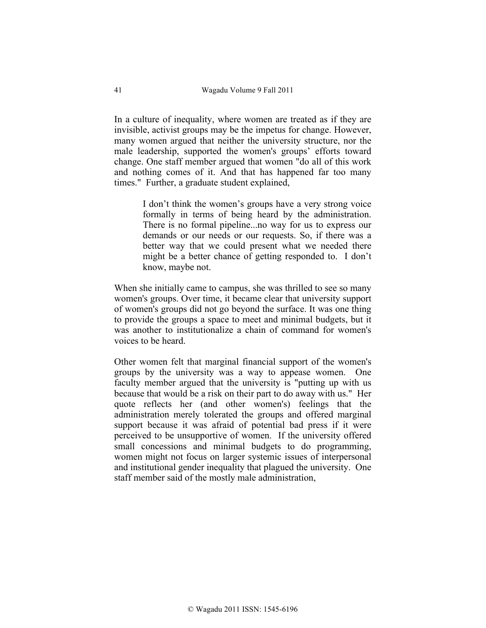In a culture of inequality, where women are treated as if they are invisible, activist groups may be the impetus for change. However, many women argued that neither the university structure, nor the male leadership, supported the women's groups' efforts toward change. One staff member argued that women "do all of this work and nothing comes of it. And that has happened far too many times." Further, a graduate student explained,

> I don't think the women's groups have a very strong voice formally in terms of being heard by the administration. There is no formal pipeline...no way for us to express our demands or our needs or our requests. So, if there was a better way that we could present what we needed there might be a better chance of getting responded to. I don't know, maybe not.

When she initially came to campus, she was thrilled to see so many women's groups. Over time, it became clear that university support of women's groups did not go beyond the surface. It was one thing to provide the groups a space to meet and minimal budgets, but it was another to institutionalize a chain of command for women's voices to be heard.

Other women felt that marginal financial support of the women's groups by the university was a way to appease women. One faculty member argued that the university is "putting up with us because that would be a risk on their part to do away with us." Her quote reflects her (and other women's) feelings that the administration merely tolerated the groups and offered marginal support because it was afraid of potential bad press if it were perceived to be unsupportive of women. If the university offered small concessions and minimal budgets to do programming, women might not focus on larger systemic issues of interpersonal and institutional gender inequality that plagued the university. One staff member said of the mostly male administration,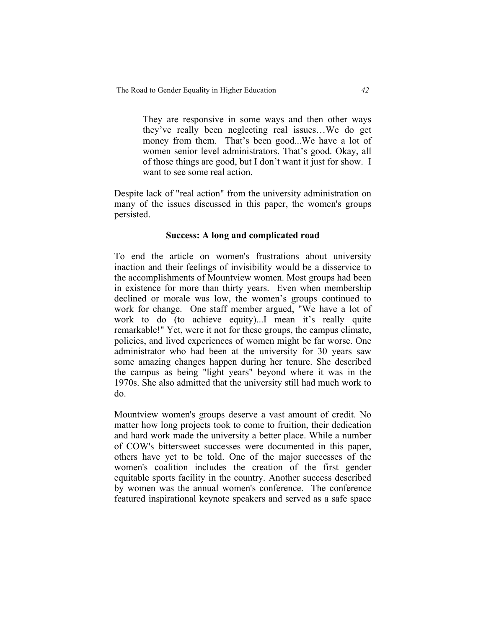They are responsive in some ways and then other ways they've really been neglecting real issues…We do get money from them. That's been good...We have a lot of women senior level administrators. That's good. Okay, all of those things are good, but I don't want it just for show. I want to see some real action.

Despite lack of "real action" from the university administration on many of the issues discussed in this paper, the women's groups persisted.

# **Success: A long and complicated road**

To end the article on women's frustrations about university inaction and their feelings of invisibility would be a disservice to the accomplishments of Mountview women. Most groups had been in existence for more than thirty years. Even when membership declined or morale was low, the women's groups continued to work for change. One staff member argued, "We have a lot of work to do (to achieve equity)...I mean it's really quite remarkable!" Yet, were it not for these groups, the campus climate, policies, and lived experiences of women might be far worse. One administrator who had been at the university for 30 years saw some amazing changes happen during her tenure. She described the campus as being "light years" beyond where it was in the 1970s. She also admitted that the university still had much work to do.

Mountview women's groups deserve a vast amount of credit. No matter how long projects took to come to fruition, their dedication and hard work made the university a better place. While a number of COW's bittersweet successes were documented in this paper, others have yet to be told. One of the major successes of the women's coalition includes the creation of the first gender equitable sports facility in the country. Another success described by women was the annual women's conference. The conference featured inspirational keynote speakers and served as a safe space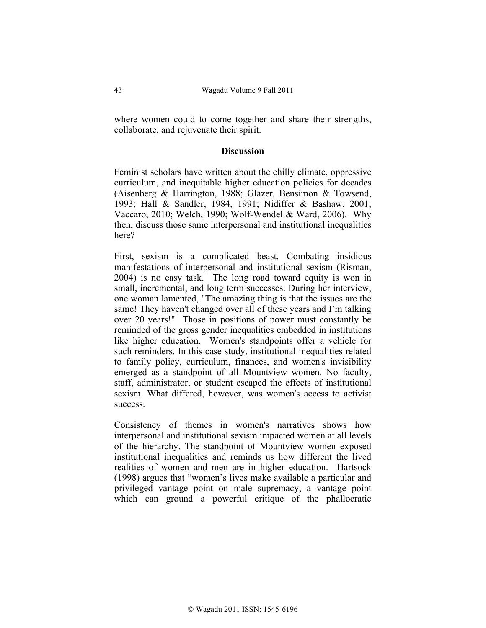where women could to come together and share their strengths, collaborate, and rejuvenate their spirit.

### **Discussion**

Feminist scholars have written about the chilly climate, oppressive curriculum, and inequitable higher education policies for decades (Aisenberg & Harrington, 1988; Glazer, Bensimon & Towsend, 1993; Hall & Sandler, 1984, 1991; Nidiffer & Bashaw, 2001; Vaccaro, 2010; Welch, 1990; Wolf-Wendel & Ward, 2006). Why then, discuss those same interpersonal and institutional inequalities here?

First, sexism is a complicated beast. Combating insidious manifestations of interpersonal and institutional sexism (Risman, 2004) is no easy task. The long road toward equity is won in small, incremental, and long term successes. During her interview, one woman lamented, "The amazing thing is that the issues are the same! They haven't changed over all of these years and I'm talking over 20 years!" Those in positions of power must constantly be reminded of the gross gender inequalities embedded in institutions like higher education. Women's standpoints offer a vehicle for such reminders. In this case study, institutional inequalities related to family policy, curriculum, finances, and women's invisibility emerged as a standpoint of all Mountview women. No faculty, staff, administrator, or student escaped the effects of institutional sexism. What differed, however, was women's access to activist success.

Consistency of themes in women's narratives shows how interpersonal and institutional sexism impacted women at all levels of the hierarchy. The standpoint of Mountview women exposed institutional inequalities and reminds us how different the lived realities of women and men are in higher education. Hartsock (1998) argues that "women's lives make available a particular and privileged vantage point on male supremacy, a vantage point which can ground a powerful critique of the phallocratic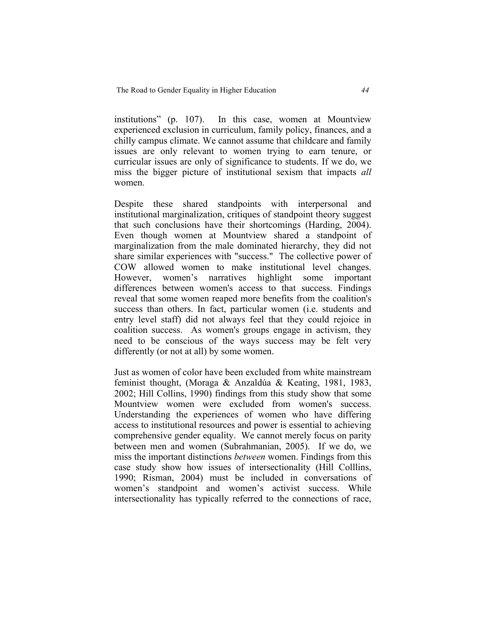institutions" (p. 107). In this case, women at Mountview experienced exclusion in curriculum, family policy, finances, and a chilly campus climate. We cannot assume that childcare and family issues are only relevant to women trying to earn tenure, or curricular issues are only of significance to students. If we do, we miss the bigger picture of institutional sexism that impacts *all* women.

Despite these shared standpoints with interpersonal and institutional marginalization, critiques of standpoint theory suggest that such conclusions have their shortcomings (Harding, 2004). Even though women at Mountview shared a standpoint of marginalization from the male dominated hierarchy, they did not share similar experiences with "success." The collective power of COW allowed women to make institutional level changes. However, women's narratives highlight some important differences between women's access to that success. Findings reveal that some women reaped more benefits from the coalition's success than others. In fact, particular women (i.e. students and entry level staff) did not always feel that they could rejoice in coalition success. As women's groups engage in activism, they need to be conscious of the ways success may be felt very differently (or not at all) by some women.

Just as women of color have been excluded from white mainstream feminist thought, (Moraga & Anzaldúa & Keating, 1981, 1983, 2002; Hill Collins, 1990) findings from this study show that some Mountview women were excluded from women's success. Understanding the experiences of women who have differing access to institutional resources and power is essential to achieving comprehensive gender equality. We cannot merely focus on parity between men and women (Subrahmanian, 2005). If we do, we miss the important distinctions *between* women. Findings from this case study show how issues of intersectionality (Hill Colllins, 1990; Risman, 2004) must be included in conversations of women's standpoint and women's activist success. While intersectionality has typically referred to the connections of race,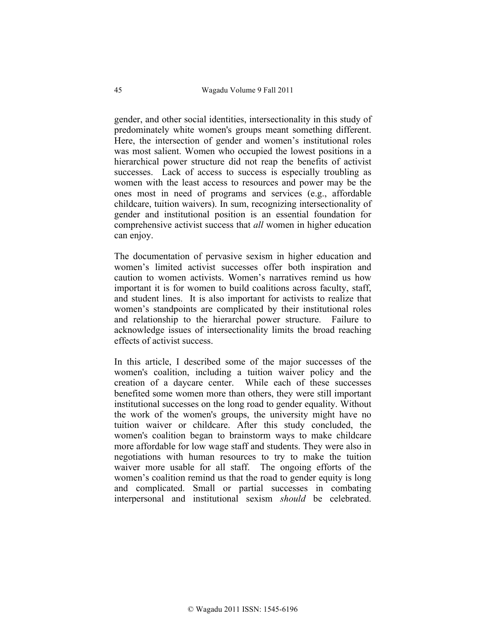gender, and other social identities, intersectionality in this study of predominately white women's groups meant something different. Here, the intersection of gender and women's institutional roles was most salient. Women who occupied the lowest positions in a hierarchical power structure did not reap the benefits of activist successes. Lack of access to success is especially troubling as women with the least access to resources and power may be the ones most in need of programs and services (e.g., affordable childcare, tuition waivers). In sum, recognizing intersectionality of gender and institutional position is an essential foundation for comprehensive activist success that *all* women in higher education can enjoy.

The documentation of pervasive sexism in higher education and women's limited activist successes offer both inspiration and caution to women activists. Women's narratives remind us how important it is for women to build coalitions across faculty, staff, and student lines. It is also important for activists to realize that women's standpoints are complicated by their institutional roles and relationship to the hierarchal power structure. Failure to acknowledge issues of intersectionality limits the broad reaching effects of activist success.

In this article, I described some of the major successes of the women's coalition, including a tuition waiver policy and the creation of a daycare center. While each of these successes benefited some women more than others, they were still important institutional successes on the long road to gender equality. Without the work of the women's groups, the university might have no tuition waiver or childcare. After this study concluded, the women's coalition began to brainstorm ways to make childcare more affordable for low wage staff and students. They were also in negotiations with human resources to try to make the tuition waiver more usable for all staff. The ongoing efforts of the women's coalition remind us that the road to gender equity is long and complicated. Small or partial successes in combating interpersonal and institutional sexism *should* be celebrated.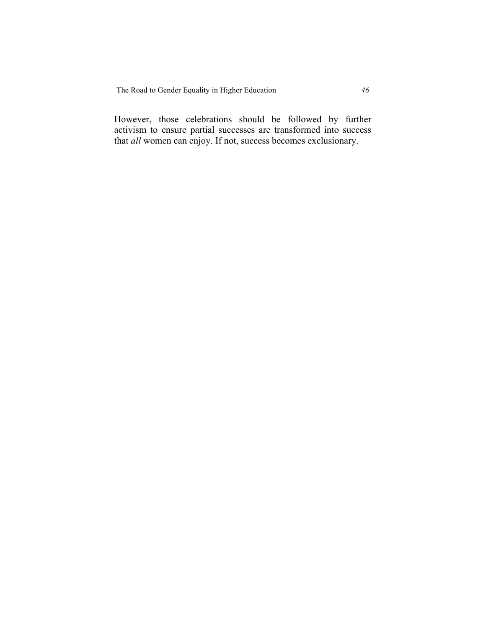However, those celebrations should be followed by further activism to ensure partial successes are transformed into success that *all* women can enjoy. If not, success becomes exclusionary.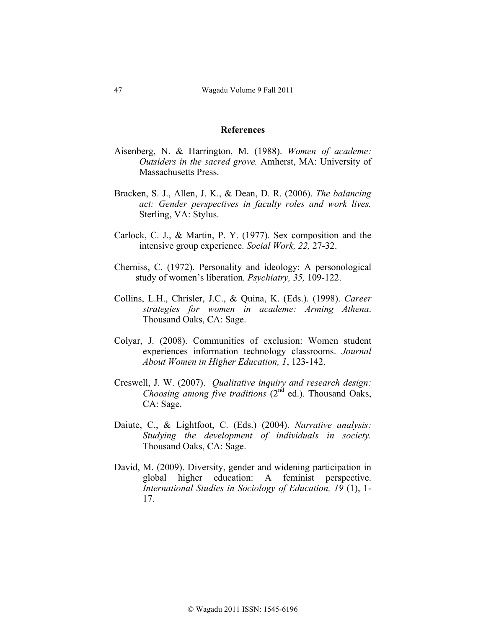## **References**

- Aisenberg, N. & Harrington, M. (1988). *Women of academe: Outsiders in the sacred grove.* Amherst, MA: University of Massachusetts Press.
- Bracken, S. J., Allen, J. K., & Dean, D. R. (2006). *The balancing act: Gender perspectives in faculty roles and work lives.* Sterling, VA: Stylus.
- Carlock, C. J., & Martin, P. Y. (1977). Sex composition and the intensive group experience. *Social Work, 22,* 27-32.
- Cherniss, C. (1972). Personality and ideology: A personological study of women's liberation*. Psychiatry, 35,* 109-122.
- Collins, L.H., Chrisler, J.C., & Quina, K. (Eds.). (1998). *Career strategies for women in academe: Arming Athena*. Thousand Oaks, CA: Sage.
- Colyar, J. (2008). Communities of exclusion: Women student experiences information technology classrooms. *Journal About Women in Higher Education, 1*, 123-142.
- Creswell, J. W. (2007). *Qualitative inquiry and research design: Choosing among five traditions*  $(2^{nd}$  ed.). Thousand Oaks, CA: Sage.
- Daiute, C., & Lightfoot, C. (Eds.) (2004). *Narrative analysis: Studying the development of individuals in society.*  Thousand Oaks, CA: Sage.
- David, M. (2009). Diversity, gender and widening participation in global higher education: A feminist perspective. *International Studies in Sociology of Education, 19* (1), 1- 17.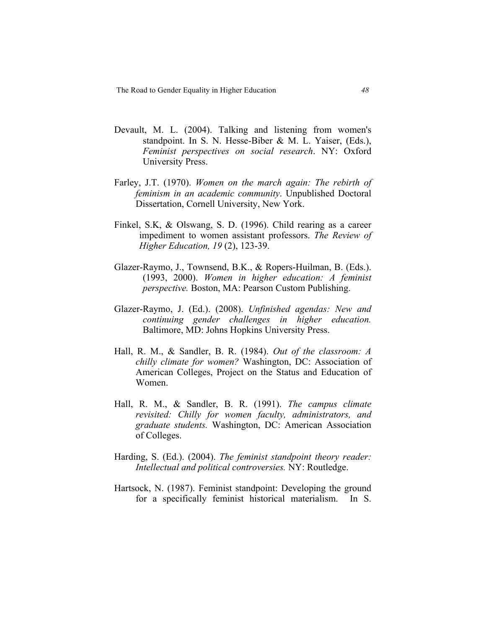- Devault, M. L. (2004). Talking and listening from women's standpoint. In S. N. Hesse-Biber & M. L. Yaiser, (Eds.), *Feminist perspectives on social research*. NY: Oxford University Press.
- Farley, J.T. (1970). *Women on the march again: The rebirth of feminism in an academic community*. Unpublished Doctoral Dissertation, Cornell University, New York.
- Finkel, S.K, & Olswang, S. D. (1996). Child rearing as a career impediment to women assistant professors. *The Review of Higher Education, 19* (2), 123-39.
- Glazer-Raymo, J., Townsend, B.K., & Ropers-Huilman, B. (Eds.). (1993, 2000). *Women in higher education: A feminist perspective.* Boston, MA: Pearson Custom Publishing.
- Glazer-Raymo, J. (Ed.). (2008). *Unfinished agendas: New and continuing gender challenges in higher education.*  Baltimore, MD: Johns Hopkins University Press.
- Hall, R. M., & Sandler, B. R. (1984). *Out of the classroom: A chilly climate for women?* Washington, DC: Association of American Colleges, Project on the Status and Education of Women.
- Hall, R. M., & Sandler, B. R. (1991). *The campus climate revisited: Chilly for women faculty, administrators, and graduate students.* Washington, DC: American Association of Colleges.
- Harding, S. (Ed.). (2004). *The feminist standpoint theory reader: Intellectual and political controversies.* NY: Routledge.
- Hartsock, N. (1987). Feminist standpoint: Developing the ground for a specifically feminist historical materialism. In S.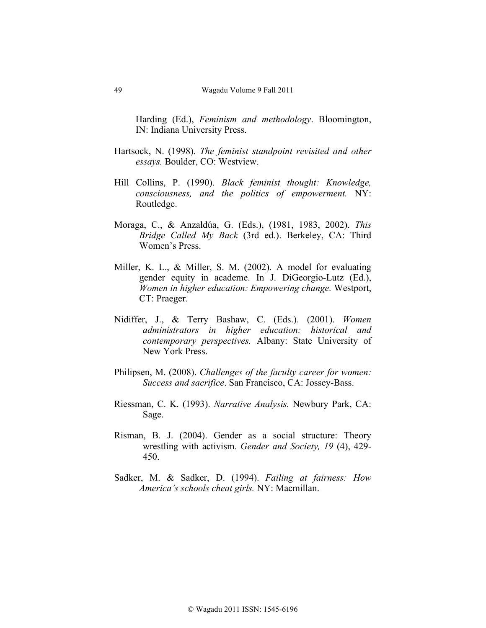Harding (Ed.), *Feminism and methodology*. Bloomington, IN: Indiana University Press.

- Hartsock, N. (1998). *The feminist standpoint revisited and other essays.* Boulder, CO: Westview.
- Hill Collins, P. (1990). *Black feminist thought: Knowledge, consciousness, and the politics of empowerment.* NY: Routledge.
- Moraga, C., & Anzaldúa, G. (Eds.), (1981, 1983, 2002). *This Bridge Called My Back* (3rd ed.). Berkeley, CA: Third Women's Press.
- Miller, K. L., & Miller, S. M. (2002). A model for evaluating gender equity in academe. In J. DiGeorgio-Lutz (Ed.), *Women in higher education: Empowering change.* Westport, CT: Praeger.
- Nidiffer, J., & Terry Bashaw, C. (Eds.). (2001). *Women administrators in higher education: historical and contemporary perspectives.* Albany: State University of New York Press.
- Philipsen, M. (2008). *Challenges of the faculty career for women: Success and sacrifice*. San Francisco, CA: Jossey-Bass.
- Riessman, C. K. (1993). *Narrative Analysis.* Newbury Park, CA: Sage.
- Risman, B. J. (2004). Gender as a social structure: Theory wrestling with activism. *Gender and Society, 19* (4), 429- 450.
- Sadker, M. & Sadker, D. (1994). *Failing at fairness: How America's schools cheat girls.* NY: Macmillan.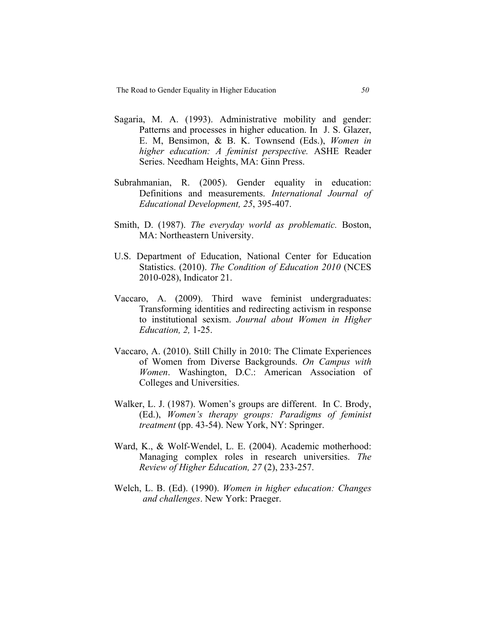- Sagaria, M. A. (1993). Administrative mobility and gender: Patterns and processes in higher education. In J. S. Glazer, E. M, Bensimon, & B. K. Townsend (Eds.), *Women in higher education: A feminist perspective.* ASHE Reader Series. Needham Heights, MA: Ginn Press.
- Subrahmanian, R. (2005). Gender equality in education: Definitions and measurements. *International Journal of Educational Development, 25*, 395-407.
- Smith, D. (1987). *The everyday world as problematic.* Boston, MA: Northeastern University.
- U.S. Department of Education, National Center for Education Statistics. (2010). *The Condition of Education 2010* (NCES 2010-028), Indicator 21.
- Vaccaro, A. (2009). Third wave feminist undergraduates: Transforming identities and redirecting activism in response to institutional sexism. *Journal about Women in Higher Education, 2,* 1-25.
- Vaccaro, A. (2010). Still Chilly in 2010: The Climate Experiences of Women from Diverse Backgrounds. *On Campus with Women*. Washington, D.C.: American Association of Colleges and Universities.
- Walker, L. J. (1987). Women's groups are different. In C. Brody, (Ed.), *Women's therapy groups: Paradigms of feminist treatment* (pp. 43-54). New York, NY: Springer.
- Ward, K., & Wolf-Wendel, L. E. (2004). Academic motherhood: Managing complex roles in research universities. *The Review of Higher Education, 27* (2), 233-257.
- Welch, L. B. (Ed). (1990). *Women in higher education: Changes and challenges*. New York: Praeger.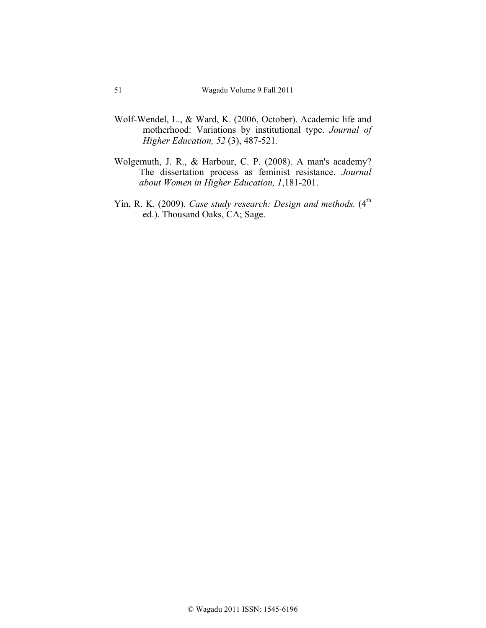- Wolf-Wendel, L., & Ward, K. (2006, October). Academic life and motherhood: Variations by institutional type. *Journal of Higher Education, 52* (3), 487-521.
- Wolgemuth, J. R., & Harbour, C. P. (2008). A man's academy? The dissertation process as feminist resistance. *Journal about Women in Higher Education, 1*,181-201.
- Yin, R. K. (2009). *Case study research: Design and methods*. (4<sup>th</sup> ed.). Thousand Oaks, CA; Sage.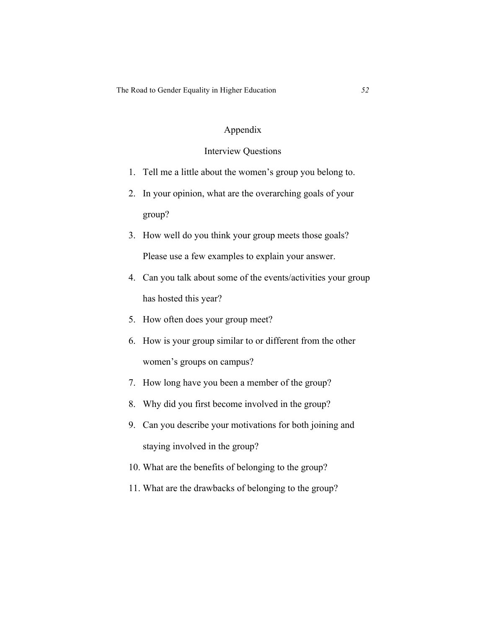# Appendix

# Interview Questions

- 1. Tell me a little about the women's group you belong to.
- 2. In your opinion, what are the overarching goals of your group?
- 3. How well do you think your group meets those goals? Please use a few examples to explain your answer.
- 4. Can you talk about some of the events/activities your group has hosted this year?
- 5. How often does your group meet?
- 6. How is your group similar to or different from the other women's groups on campus?
- 7. How long have you been a member of the group?
- 8. Why did you first become involved in the group?
- 9. Can you describe your motivations for both joining and staying involved in the group?
- 10. What are the benefits of belonging to the group?
- 11. What are the drawbacks of belonging to the group?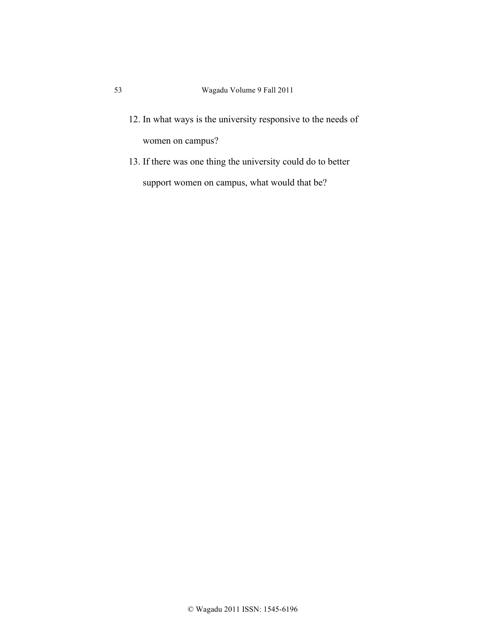- 12. In what ways is the university responsive to the needs of women on campus?
- 13. If there was one thing the university could do to better support women on campus, what would that be?